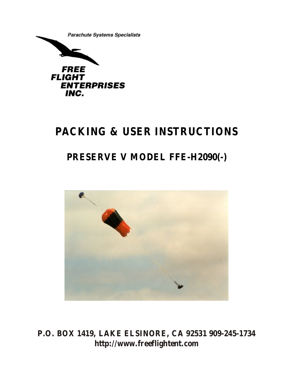

# **PACKING & USER INSTRUCTIONS**

## **PRESERVE V MODEL FFE-H2090(-)**



**P.O. BOX 1419, LAKE ELSINORE, CA 92531 909-245-1734 http://www.freeflightent.com**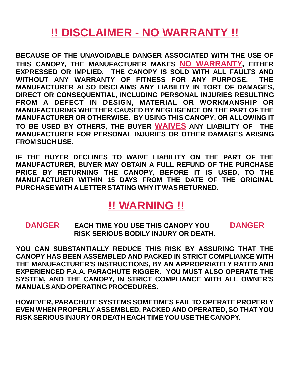# **!! DISCLAIMER - NO WARRANTY !!**

THIS CANOPY, THE MANUFACTURER MAKES <mark>NO WARRANTY</mark>, EITHER TO BE USED BY OTHERS, THE BUYER WAIVES ANY LIABILITY OF THE **BECAUSE OF THE UNAVOIDABLE DANGER ASSOCIATED WITH THE USE OF EXPRESSED OR IMPLIED. THE CANOPY IS SOLD WITH ALL FAULTS AND WITHOUT ANY WARRANTY OF FITNESS FOR ANY PURPOSE. THE MANUFACTURER ALSO DISCLAIMS ANY LIABILITY IN TORT OF DAMAGES, DIRECT OR CONSEQUENTIAL, INCLUDING PERSONAL INJURIES RESULTING FROM A DEFECT IN DESIGN, MATERIAL OR WORKMANSHIP OR MANUFACTURING WHETHER CAUSED BY NEGLIGENCE ON THE PART OF THE MANUFACTURER OR OTHERWISE. BY USING THIS CANOPY, OR ALLOWING IT MANUFACTURER FOR PERSONAL INJURIES OR OTHER DAMAGES ARISING FROM SUCH USE.**

**IF THE BUYER DECLINES TO WAIVE LIABILITY ON THE PART OF THE MANUFACTURER, BUYER MAY OBTAIN A FULL REFUND OF THE PURCHASE PRICE BY RETURNING THE CANOPY, BEFORE IT IS USED, TO THE MANUFACTURER WITHIN 15 DAYS FROM THE DATE OF THE ORIGINAL PURCHASE WITH A LETTER STATING WHY IT WAS RETURNED.**

## **!! WARNING !!**

**DANGER DANGER EACH TIME YOU USE THIS CANOPY YOU RISK SERIOUS BODILY INJURY OR DEATH.**

**YOU CAN SUBSTANTIALLY REDUCE THIS RISK BY ASSURING THAT THE CANOPY HAS BEEN ASSEMBLED AND PACKED IN STRICT COMPLIANCE WITH THE MANUFACTURER'S INSTRUCTIONS, BY AN APPROPRIATELY RATED AND EXPERIENCED F.A.A. PARACHUTE RIGGER. YOU MUST ALSO OPERATE THE SYSTEM, AND THE CANOPY, IN STRICT COMPLIANCE WITH ALL OWNER'S MANUALS AND OPERATING PROCEDURES.**

**HOWEVER, PARACHUTE SYSTEMS SOMETIMES FAIL TO OPERATE PROPERLY EVEN WHEN PROPERLY ASSEMBLED, PACKED AND OPERATED, SO THAT YOU RISK SERIOUS INJURY OR DEATH EACH TIME YOU USE THE CANOPY.**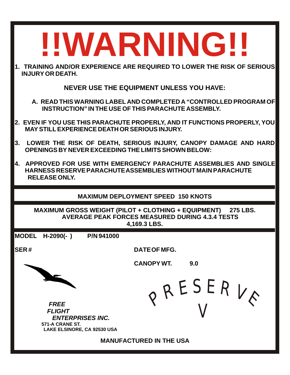| 1. TRAINING AND/OR EXPERIENCE ARE REQUIRED TO LOWER THE RISK OF SERIOUS<br><b>INJURY OR DEATH.</b><br><b>NEVER USE THE EQUIPMENT UNLESS YOU HAVE:</b><br>A. READ THIS WARNING LABEL AND COMPLETED A "CONTROLLED PROGRAM OF<br>INSTRUCTION" IN THE USE OF THIS PARACHUTE ASSEMBLY.<br>2. EVEN IF YOU USE THIS PARACHUTE PROPERLY, AND IT FUNCTIONS PROPERLY, YOU<br><b>MAY STILL EXPERIENCE DEATH OR SERIOUS INJURY.</b><br>3.<br>LOWER THE RISK OF DEATH, SERIOUS INJURY, CANOPY DAMAGE AND HARD<br>OPENINGS BY NEVER EXCEEDING THE LIMITS SHOWN BELOW:<br>4. APPROVED FOR USE WITH EMERGENCY PARACHUTE ASSEMBLIES AND SINGLE<br>HARNESS RESERVE PARACHUTE ASSEMBLIES WITHOUT MAIN PARACHUTE<br><b>RELEASE ONLY.</b><br><b>MAXIMUM DEPLOYMENT SPEED 150 KNOTS</b><br>MAXIMUM GROSS WEIGHT (PILOT + CLOTHING + EQUIPMENT) 275 LBS.<br><b>AVERAGE PEAK FORCES MEASURED DURING 4.3.4 TESTS</b><br>4,169.3 LBS.<br><b>MODEL</b><br>- H-2090(- )<br>P/N 941000<br><b>SER#</b><br>DATE OF MFG.<br><b>CANOPY WT.</b><br>9.0<br>PRESERVA<br><b>FREE</b><br><b>FLIGHT</b><br><b>ENTERPRISES INC.</b><br>571-A CRANE ST.<br>LAKE ELSINORE, CA 92530 USA<br><b>MANUFACTURED IN THE USA</b> | !!WARNING!! |  |  |  |
|---------------------------------------------------------------------------------------------------------------------------------------------------------------------------------------------------------------------------------------------------------------------------------------------------------------------------------------------------------------------------------------------------------------------------------------------------------------------------------------------------------------------------------------------------------------------------------------------------------------------------------------------------------------------------------------------------------------------------------------------------------------------------------------------------------------------------------------------------------------------------------------------------------------------------------------------------------------------------------------------------------------------------------------------------------------------------------------------------------------------------------------------------------------------------------|-------------|--|--|--|
|                                                                                                                                                                                                                                                                                                                                                                                                                                                                                                                                                                                                                                                                                                                                                                                                                                                                                                                                                                                                                                                                                                                                                                                 |             |  |  |  |
|                                                                                                                                                                                                                                                                                                                                                                                                                                                                                                                                                                                                                                                                                                                                                                                                                                                                                                                                                                                                                                                                                                                                                                                 |             |  |  |  |
|                                                                                                                                                                                                                                                                                                                                                                                                                                                                                                                                                                                                                                                                                                                                                                                                                                                                                                                                                                                                                                                                                                                                                                                 |             |  |  |  |
|                                                                                                                                                                                                                                                                                                                                                                                                                                                                                                                                                                                                                                                                                                                                                                                                                                                                                                                                                                                                                                                                                                                                                                                 |             |  |  |  |
|                                                                                                                                                                                                                                                                                                                                                                                                                                                                                                                                                                                                                                                                                                                                                                                                                                                                                                                                                                                                                                                                                                                                                                                 |             |  |  |  |
|                                                                                                                                                                                                                                                                                                                                                                                                                                                                                                                                                                                                                                                                                                                                                                                                                                                                                                                                                                                                                                                                                                                                                                                 |             |  |  |  |
|                                                                                                                                                                                                                                                                                                                                                                                                                                                                                                                                                                                                                                                                                                                                                                                                                                                                                                                                                                                                                                                                                                                                                                                 |             |  |  |  |
|                                                                                                                                                                                                                                                                                                                                                                                                                                                                                                                                                                                                                                                                                                                                                                                                                                                                                                                                                                                                                                                                                                                                                                                 |             |  |  |  |
|                                                                                                                                                                                                                                                                                                                                                                                                                                                                                                                                                                                                                                                                                                                                                                                                                                                                                                                                                                                                                                                                                                                                                                                 |             |  |  |  |
|                                                                                                                                                                                                                                                                                                                                                                                                                                                                                                                                                                                                                                                                                                                                                                                                                                                                                                                                                                                                                                                                                                                                                                                 |             |  |  |  |
|                                                                                                                                                                                                                                                                                                                                                                                                                                                                                                                                                                                                                                                                                                                                                                                                                                                                                                                                                                                                                                                                                                                                                                                 |             |  |  |  |
|                                                                                                                                                                                                                                                                                                                                                                                                                                                                                                                                                                                                                                                                                                                                                                                                                                                                                                                                                                                                                                                                                                                                                                                 |             |  |  |  |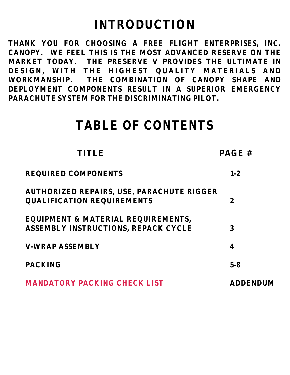# **INTRODUCTION**

**THANK YOU FOR CHOOSING A FREE FLIGHT ENTERPRISES, INC. CANOPY. WE FEEL THIS IS THE MOST ADVANCED RESERVE ON THE MARKET TODAY. THE PRESERVE V PROVIDES THE ULTIMATE IN DESIGN, WITH THE HIGHEST QUALITY MATERIALS AND WORKMANSHIP. THE COMBINATION OF CANOPY SHAPE AND DEPLOYMENT COMPONENTS RESULT IN A SUPERIOR EMERGENCY PARACHUTE SYSTEM FOR THE DISCRIMINATING PILOT.**

# **TABLE OF CONTENTS**

| TITLE                                                                          | PAGE#          |
|--------------------------------------------------------------------------------|----------------|
| <b>REQUIRED COMPONENTS</b>                                                     | $1 - 2$        |
| AUTHORIZED REPAIRS, USE, PARACHUTE RIGGER<br><b>QUALIFICATION REQUIREMENTS</b> | $\overline{2}$ |
| EQUIPMENT & MATERIAL REQUIREMENTS,<br>ASSEMBLY INSTRUCTIONS, REPACK CYCLE      | 3              |
| <b>V-WRAP ASSEMBLY</b>                                                         | 4              |
| <b>PACKING</b>                                                                 | $5 - 8$        |
| <b>MANDATORY PACKING CHECK LIST</b>                                            | ADDENDUM       |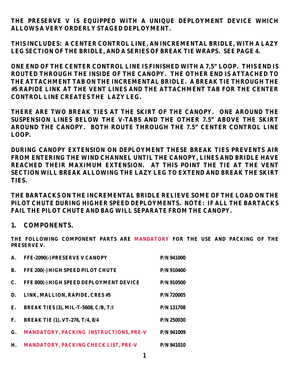**THE PRESERVE V IS EQUIPPED WITH A UNIQUE DEPLOYMENT DEVICE WHICH ALLOWS A VERY ORDERLY STAGED DEPLOYMENT.** 

**THIS INCLUDES: A CENTER CONTROL LINE, AN INCREMENTAL BRIDLE, WITH A LAZY LEG SECTION OF THE BRIDLE, AND A SERIES OF BREAK TIE WRAPS. SEE PAGE 4.**

**ONE END OF THE CENTER CONTROL LINE IS FINISHED WITH A 7.5" LOOP. THIS END IS ROUTED THROUGH THE INSIDE OF THE CANOPY. THE OTHER END IS ATTACHED TO THE ATTACHMENT TAB ON THE INCREMENTAL BRIDLE. A BREAK TIE THROUGH THE #5 RAPIDE LINK AT THE VENT LINES AND THE ATTACHMENT TAB FOR THE CENTER CONTROL LINE CREATES THE LAZY LEG.**

**THERE ARE TWO BREAK TIES AT THE SKIRT OF THE CANOPY. ONE AROUND THE SUSPENSION LINES BELOW THE V-TABS AND THE OTHER 7.5" ABOVE THE SKIRT AROUND THE CANOPY. BOTH ROUTE THROUGH THE 7.5" CENTER CONTROL LINE LOOP.**

**DURING CANOPY EXTENSION ON DEPLOYMENT THESE BREAK TIES PREVENTS AIR FROM ENTERING THE WIND CHANNEL UNTIL THE CANOPY, LINES AND BRIDLE HAVE REACHED THEIR MAXIMUM EXTENSION. AT THIS POINT THE TIE AT THE VENT SECTION WILL BREAK ALLOWING THE LAZY LEG TO EXTEND AND BREAK THE SKIRT TIES.**

**THE BARTACKS ON THE INCREMENTAL BRIDLE RELIEVE SOME OF THE LOAD ON THE PILOT CHUTE DURING HIGHER SPEED DEPLOYMENTS. NOTE: IF ALL THE BARTACKS FAIL THE PILOT CHUTE AND BAG WILL SEPARATE FROM THE CANOPY.** 

#### **1. COMPONENTS.**

THE FOLLOWING COMPONENT PARTS ARE MANDATORY FOR THE USE AND PACKING OF THE **PRESERVE V.**

| A.          | FFE-2090(-) PRESERVE V CANOPY           | P/N 941000   |
|-------------|-----------------------------------------|--------------|
| <b>B.</b>   | FFE 200(-) HIGH SPEED PILOT CHUTE       | $P/N$ 910400 |
| C.          | FFE 800(-) HIGH SPEED DEPLOYMENT DEVICE | P/N 910500   |
| D.          | LINK, MALLION, RAPIDE, CRES #5          | P/N 720005   |
| Ε.          | BREAK TIES (3), MIL-T-5608, C/B, T/I    | P/N 131708   |
| $F_{\cdot}$ | BREAK TIE (1), VT-276, T/4, 8/4         | P/N 250030   |
| G.          | MANDATORY, PACKING INSTRUCTIONS, PRE-V  | P/N 941009   |
| H.          | MANDATORY, PACKING CHECK LIST, PRE-V    | P/N 941010   |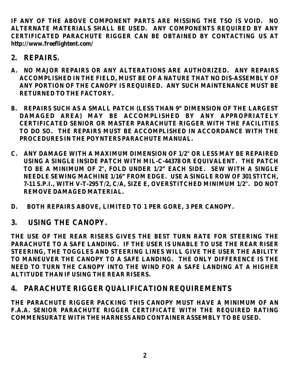**IF ANY OF THE ABOVE COMPONENT PARTS ARE MISSING THE TSO IS VOID. NO ALTERNATE MATERIALS SHALL BE USED. ANY COMPONENTS REQUIRED BY ANY CERTIFICATED PARACHUTE RIGGER CAN BE OBTAINED BY CONTACTING US AT http://www.freeflightent.com/**

- **2. REPAIRS.**
- **A. NO MAJOR REPAIRS OR ANY ALTERATIONS ARE AUTHORIZED. ANY REPAIRS ACCOMPLISHED IN THE FIELD, MUST BE OF A NATURE THAT NO DIS-ASSEMBLY OF ANY PORTION OF THE CANOPY IS REQUIRED. ANY SUCH MAINTENANCE MUST BE RETURNED TO THE FACTORY.**
- **B. REPAIRS SUCH AS A SMALL PATCH (LESS THAN 9" DIMENSION OF THE LARGEST DAMAGED AREA) MAY BE ACCOMPLISHED BY ANY APPROPRIATELY CERTIFICATED SENIOR OR MASTER PARACHUTE RIGGER WITH THE FACILITIES TO DO SO. THE REPAIRS MUST BE ACCOMPLISHED IN ACCORDANCE WITH THE PROCEDURES IN THE POYNTERS PARACHUTE MANUAL.**
- **C. ANY DAMAGE WITH A MAXIMUM DIMENSION OF 1/2" OR LESS MAY BE REPAIRED USING A SINGLE INSIDE PATCH WITH MIL-C-44378 OR EQUIVALENT. THE PATCH TO BE A MINIMUM OF 2", FOLD UNDER 1/2" EACH SIDE. SEW WITH A SINGLE NEEDLE SEWING MACHINE 1/16" FROM EDGE. USE A SINGLE ROW OF 301 STITCH, 7-11 S.P.I., WITH V-T-295 T/2, C/A, SIZE E, OVERSTITCHED MINIMUM 1/2". DO NOT REMOVE DAMAGED MATERIAL.**
- **D. BOTH REPAIRS ABOVE, LIMITED TO 1 PER GORE, 3 PER CANOPY.**
- **3. USING THE CANOPY.**

**THE USE OF THE REAR RISERS GIVES THE BEST TURN RATE FOR STEERING THE PARACHUTE TO A SAFE LANDING. IF THE USER IS UNABLE TO USE THE REAR RISER STEERING, THE TOGGLES AND STEERING LINES WILL GIVE THE USER THE ABILITY TO MANEUVER THE CANOPY TO A SAFE LANDING. THE ONLY DIFFERENCE IS THE NEED TO TURN THE CANOPY INTO THE WIND FOR A SAFE LANDING AT A HIGHER ALTITUDE THAN IF USING THE REAR RISERS.**

## **4. PARACHUTE RIGGER QUALIFICATION REQUIREMENTS**

**THE PARACHUTE RIGGER PACKING THIS CANOPY MUST HAVE A MINIMUM OF AN F.A.A. SENIOR PARACHUTE RIGGER CERTIFICATE WITH THE REQUIRED RATING COMMENSURATE WITH THE HARNESS AND CONTAINER ASSEMBLY TO BE USED.**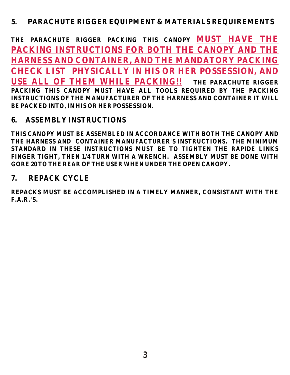## **5. PARACHUTE RIGGER EQUIPMENT & MATERIALS REQUIREMENTS**

**THE PARACHUTE RIGGER PACKING THIS CANOPY MUST HAVE THE THE PARACHUTE RIGGER PACKING THIS CANOPY MUST HAVE ALL TOOLS REQUIRED BY THE PACKING INSTRUCTIONS OF THE MANUFACTURER OF THE HARNESS AND CONTAINER IT WILL BE PACKED INTO, IN HIS OR HER POSSESSION. PACKING INSTRUCTIONS FOR BOTH THE CANOPY AND THE HARNESS AND CONTAINER, AND THE MANDATORY PACKING CHECK LIST PHYSICALLY IN HIS OR HER POSSESSION, AND USE ALL OF THEM WHILE PACKING!!** 

## **6. ASSEMBLY INSTRUCTIONS**

**THIS CANOPY MUST BE ASSEMBLED IN ACCORDANCE WITH BOTH THE CANOPY AND THE HARNESS AND CONTAINER MANUFACTURER'S INSTRUCTIONS. THE MINIMUM STANDARD IN THESE INSTRUCTIONS MUST BE TO TIGHTEN THE RAPIDE LINKS FINGER TIGHT, THEN 1/4 TURN WITH A WRENCH. ASSEMBLY MUST BE DONE WITH GORE 20 TO THE REAR OF THE USER WHEN UNDER THE OPEN CANOPY.**

## **7. REPACK CYCLE**

**REPACKS MUST BE ACCOMPLISHED IN A TIMELY MANNER, CONSISTANT WITH THE F.A.R.'S.**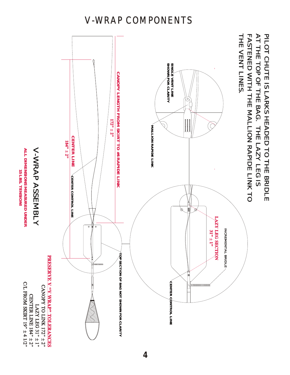## V-WRAP COMPONENTS



V-WRAP

**ALL**

**DIMENSIONS**

**15 LBS.**

**ALL DIMENSIONS MEASURED 15 LBS.** 

**TENSION!**

**MEASURED**

**UNDER**

C/L FROM SKIRT 19" ± 4 1/2"

CENTER LINE 184" ± 2" LAZY LEG 31" ± 1"

V-WRAP ASSEMBLY

V-WRAP ASSEMBLY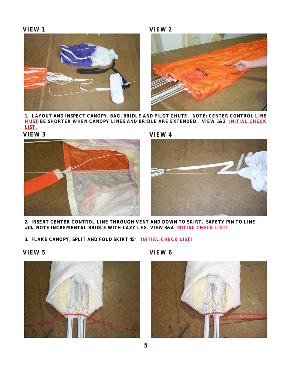



**1. LAYOUT AND INSPECT CANOPY, BAG, BRIDLE AND PILOT CHUTE. NOTE: CENTER CONTROL LINE MUST BE SHORTER WHEN CANOPY LINES AND BRIDLE ARE EXTENDED. VIEW 1&2 INITIAL CHECK LIST.**

**VIEW 3**



**VIEW 4**



- **2. INSERT CENTER CONTROL LINE THROUGH VENT AND DOWN TO SKIRT. SAFETY PIN TO LINE #10. NOTE INCREMENTAL BRIDLE WITH LAZY LEG. VIEW 3&4 INITIAL CHECK LIST!**
- **3. FLAKE CANOPY, SPLIT AND FOLD SKIRT 45**°. **INITIAL CHECK LIST!**

**VIEW 5**



**VIEW 6**

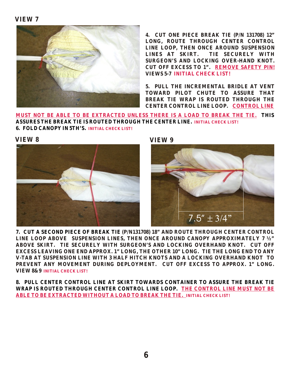

**4. CUT ONE PIECE BREAK TIE (P/N 131708) 12"**  LONG, ROUTE THROUGH CENTER CONTROL **LINE LOOP, THEN ONCE AROUND SUSPENSION LINES AT SKIRT. TIE SECURELY WITH SURGEON'S AND LOCKING OVER-HAND KNOT.**  CUT OFF EXCESS TO 1". REMOVE SAFETY PIN!  **VIEWS 5-7 INITIAL CHECK LIST!**

**5. PULL THE INCREMENTAL BRIDLE AT VENT TOWARD PILOT CHUTE TO ASSURE THAT BREAK TIE WRAP IS ROUTED THROUGH THE CENTER CONTROL LINE LOOP. CONTROL LINE** 

**MUST NOT BE ABLE TO BE EXTRACTED UNLESS THERE IS A LOAD TO BREAK THE TIE. THIS ASSURES THE BREAK TIE IS ROUTED THROUGH THE CENTER LINE. INITIAL CHECK LIST! 6. FOLD CANOPY IN 5TH'S. INITIAL CHECK LIST!**





**VIEW 8 VIEW 9**



**7. CUT A SECOND PIECE OF BREAK TIE (P/N131708) 18" AND ROUTE THROUGH CENTER CONTROL LINE LOOP ABOVE SUSPENSION LINES, THEN ONCE AROUND CANOPY APPROXIMATELY 7 ½" ABOVE SKIRT. TIE SECURELY WITH SURGEON'S AND LOCKING OVERHAND KNOT. CUT OFF EXCESS LEAVING ONE END APPROX. 1" LONG, THE OTHER 10" LONG. TIE THE LONG END TO ANY V-TAB AT SUSPENSION LINE WITH 3 HALF HITCH KNOTS AND A LOCKING OVERHAND KNOT TO PREVENT ANY MOVEMENT DURING DEPLOYMENT. CUT OFF EXCESS TO APPROX. 1" LONG. VIEW 8&9 INITIAL CHECK LIST!**

**8. PULL CENTER CONTROL LINE AT SKIRT TOWARDS CONTAINER TO ASSURE THE BREAK TIE WRAP IS ROUTED THROUGH CENTER CONTROL LINE LOOP. THE CONTROL LINE MUST NOT BE ABLE TO BE EXTRACTED WITHOUT A LOAD TO BREAK THE TIE. INITIAL CHECK LIST!**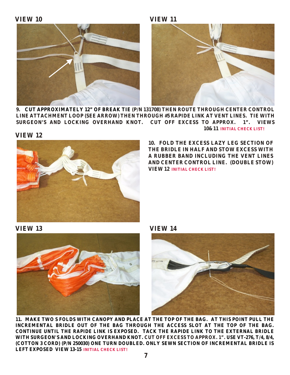



**9. CUT APPROXIMATELY 12" OF BREAK TIE (P/N 131708) THEN ROUTE THROUGH CENTER CONTROL LINE ATTACHMENT LOOP (SEE ARROW) THEN THROUGH #5 RAPIDE LINK AT VENT LINES. TIE WITH SURGEON'S AND LOCKING OVERHAND KNOT. CUT OFF EXCESS TO APPROX. 1". VIEWS 10&11 INITIAL CHECK LIST!**

**VIEW 12**



**10. FOLD THE EXCESS LAZY LEG SECTION OF THE BRIDLE IN HALF AND STOW EXCESS WITH A RUBBER BAND INCLUDING THE VENT LINES AND CENTER CONTROL LINE. (DOUBLE STOW) VIEW 12 INITIAL CHECK LIST!** 

**VIEW 13 VIEW 14**





**11. MAKE TWO S FOLDS WITH CANOPY AND PLACE AT THE TOP OF THE BAG. AT THIS POINT PULL THE INCREMENTAL BRIDLE OUT OF THE BAG THROUGH THE ACCESS SLOT AT THE TOP OF THE BAG. CONTINUE UNTIL THE RAPIDE LINK IS EXPOSED. TACK THE RAPIDE LINK TO THE EXTERNAL BRIDLE**  WITH SURGEON'S AND LOCKING OVERHAND KNOT. CUT OFF EXCESS TO APPROX. 1" . USE VT-276, T/4, 8/4, **(COTTON 3 CORD) (P/N 250030) ONE TURN DOUBLED. ONLY SEWN SECTION OF INCREMENTAL BRIDLE IS LEFT EXPOSED VIEW 13-15 INITIAL CHECK LIST!**